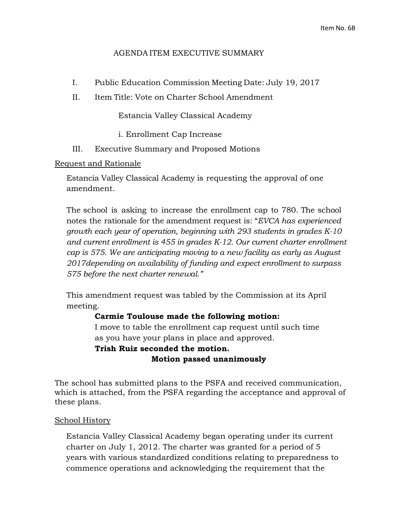#### AGENDA ITEM EXECUTIVE SUMMARY

- I. Public Education Commission Meeting Date: July 19, 2017
- II. Item Title: Vote on Charter School Amendment

Estancia Valley Classical Academy

- i. Enrollment Cap Increase
- III. Executive Summary and Proposed Motions

#### Request and Rationale

Estancia Valley Classical Academy is requesting the approval of one amendment.

The school is asking to increase the enrollment cap to 780. The school notes the rationale for the amendment request is: "*EVCA has experienced growth each year of operation, beginning with 293 students in grades K-10 and current enrollment is 455 in grades K-12. Our current charter enrollment cap is 575. We are anticipating moving to a new facility as early as August 2017depending on availability of funding and expect enrollment to surpass 575 before the next charter renewal."*

This amendment request was tabled by the Commission at its April meeting.

#### **Carmie Toulouse made the following motion:**

I move to table the enrollment cap request until such time as you have your plans in place and approved.

# **Trish Ruiz seconded the motion. Motion passed unanimously**

The school has submitted plans to the PSFA and received communication, which is attached, from the PSFA regarding the acceptance and approval of these plans.

#### School History

Estancia Valley Classical Academy began operating under its current charter on July 1, 2012. The charter was granted for a period of 5 years with various standardized conditions relating to preparedness to commence operations and acknowledging the requirement that the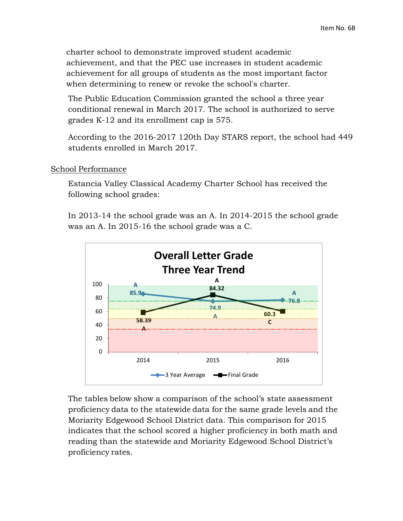charter school to demonstrate improved student academic achievement, and that the PEC use increases in student academic achievement for all groups of students as the most important factor when determining to renew or revoke the school's charter.

The Public Education Commission granted the school a three year conditional renewal in March 2017. The school is authorized to serve grades K-12 and its enrollment cap is 575.

According to the 2016-2017 120th Day STARS report, the school had 449 students enrolled in March 2017.

### School Performance

Estancia Valley Classical Academy Charter School has received the following school grades:

In 2013-14 the school grade was an A. In 2014-2015 the school grade was an A. In 2015-16 the school grade was a C.



The tables below show a comparison of the school's state assessment proficiency data to the statewide data for the same grade levels and the Moriarity Edgewood School District data. This comparison for 2015 indicates that the school scored a higher proficiency in both math and reading than the statewide and Moriarity Edgewood School District's proficiency rates.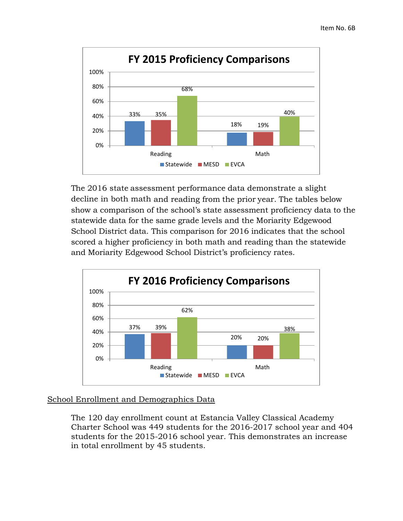

The 2016 state assessment performance data demonstrate a slight decline in both math and reading from the prior year. The tables below show a comparison of the school's state assessment proficiency data to the statewide data for the same grade levels and the Moriarity Edgewood School District data. This comparison for 2016 indicates that the school scored a higher proficiency in both math and reading than the statewide and Moriarity Edgewood School District's proficiency rates.



## School Enrollment and Demographics Data

The 120 day enrollment count at Estancia Valley Classical Academy Charter School was 449 students for the 2016-2017 school year and 404 students for the 2015-2016 school year. This demonstrates an increase in total enrollment by 45 students.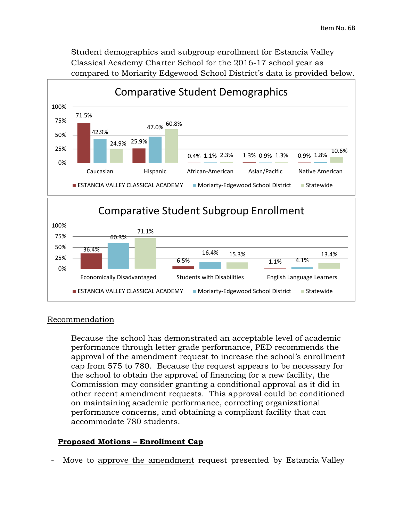Student demographics and subgroup enrollment for Estancia Valley Classical Academy Charter School for the 2016-17 school year as compared to Moriarity Edgewood School District's data is provided below.



#### Recommendation

Because the school has demonstrated an acceptable level of academic performance through letter grade performance, PED recommends the approval of the amendment request to increase the school's enrollment cap from 575 to 780. Because the request appears to be necessary for the school to obtain the approval of financing for a new facility, the Commission may consider granting a conditional approval as it did in other recent amendment requests. This approval could be conditioned on maintaining academic performance, correcting organizational performance concerns, and obtaining a compliant facility that can accommodate 780 students.

#### **Proposed Motions – Enrollment Cap**

Move to approve the amendment request presented by Estancia Valley